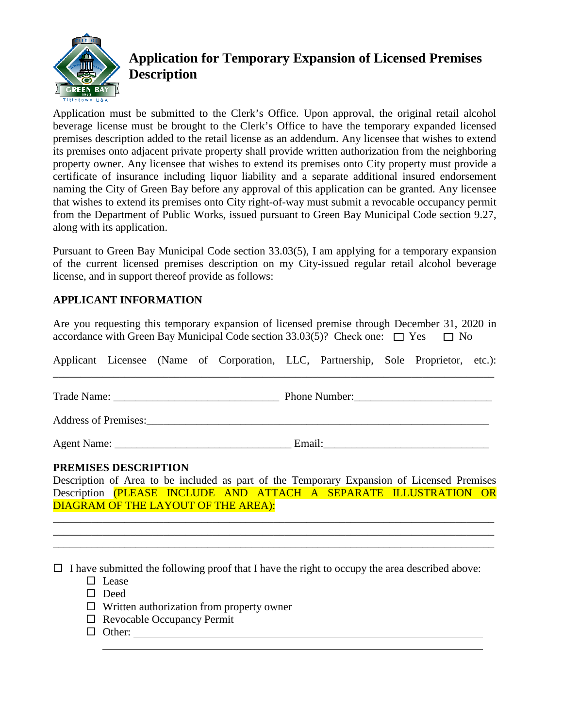

## **Application for Temporary Expansion of Licensed Premises Description**

Application must be submitted to the Clerk's Office. Upon approval, the original retail alcohol beverage license must be brought to the Clerk's Office to have the temporary expanded licensed premises description added to the retail license as an addendum. Any licensee that wishes to extend its premises onto adjacent private property shall provide written authorization from the neighboring property owner. Any licensee that wishes to extend its premises onto City property must provide a certificate of insurance including liquor liability and a separate additional insured endorsement naming the City of Green Bay before any approval of this application can be granted. Any licensee that wishes to extend its premises onto City right-of-way must submit a revocable occupancy permit from the Department of Public Works, issued pursuant to Green Bay Municipal Code section 9.27, along with its application.

Pursuant to Green Bay Municipal Code section 33.03(5), I am applying for a temporary expansion of the current licensed premises description on my City-issued regular retail alcohol beverage license, and in support thereof provide as follows:

## **APPLICANT INFORMATION**

Are you requesting this temporary expansion of licensed premise through December 31, 2020 in accordance with Green Bay Municipal Code section 33.03(5)? Check one:  $\Box$  Yes  $\Box$  No

Applicant Licensee (Name of Corporation, LLC, Partnership, Sole Proprietor, etc.): \_\_\_\_\_\_\_\_\_\_\_\_\_\_\_\_\_\_\_\_\_\_\_\_\_\_\_\_\_\_\_\_\_\_\_\_\_\_\_\_\_\_\_\_\_\_\_\_\_\_\_\_\_\_\_\_\_\_\_\_\_\_\_\_\_\_\_\_\_\_\_\_\_\_\_\_\_\_\_\_

Trade Name: \_\_\_\_\_\_\_\_\_ Phone Number:\_\_\_\_\_ \_\_\_\_\_\_\_\_\_\_\_\_\_\_\_\_\_\_\_\_\_ \_\_\_\_\_\_\_\_\_\_\_\_\_\_\_\_\_\_\_\_

Address of Premises:\_\_\_ \_\_\_\_\_\_\_\_\_\_\_\_\_\_\_\_\_\_\_\_\_\_\_\_\_\_\_\_\_\_\_\_\_\_\_\_\_\_\_\_\_\_\_\_\_\_\_\_\_\_\_\_\_\_\_\_\_\_\_

Agent Name: \_\_\_\_\_\_\_\_\_ Email:\_\_\_\_\_\_\_\_\_\_\_\_\_\_\_\_\_\_\_\_\_\_\_\_\_\_\_\_\_\_ \_\_\_\_\_\_\_\_\_\_\_\_\_\_\_\_\_\_\_\_\_\_\_

## **PREMISES DESCRIPTION**

Description of Area to be included as part of the Temporary Expansion of Licensed Premises Description (PLEASE INCLUDE AND ATTACH A SEPARATE ILLUSTRATION OR DIAGRAM OF THE LAYOUT OF THE AREA):

\_\_\_\_\_\_\_\_\_\_\_\_\_\_\_\_\_\_\_\_\_\_\_\_\_\_\_\_\_\_\_\_\_\_\_\_\_\_\_\_\_\_\_\_\_\_\_\_\_\_\_\_\_\_\_\_\_\_\_\_\_\_\_\_\_\_\_\_\_\_\_\_\_\_\_\_\_\_\_\_ \_\_\_\_\_\_\_\_\_\_\_\_\_\_\_\_\_\_\_\_\_\_\_\_\_\_\_\_\_\_\_\_\_\_\_\_\_\_\_\_\_\_\_\_\_\_\_\_\_\_\_\_\_\_\_\_\_\_\_\_\_\_\_\_\_\_\_\_\_\_\_\_\_\_\_\_\_\_\_\_ \_\_\_\_\_\_\_\_\_\_\_\_\_\_\_\_\_\_\_\_\_\_\_\_\_\_\_\_\_\_\_\_\_\_\_\_\_\_\_\_\_\_\_\_\_\_\_\_\_\_\_\_\_\_\_\_\_\_\_\_\_\_\_\_\_\_\_\_\_\_\_\_\_\_\_\_\_\_\_\_

 $\Box$  I have submitted the following proof that I have the right to occupy the area described above:

- $\Box$  Lease
- □ Deed
- $\Box$  Written authorization from property owner
- $\Box$  Revocable Occupancy Permit
- $\Box$  Other: